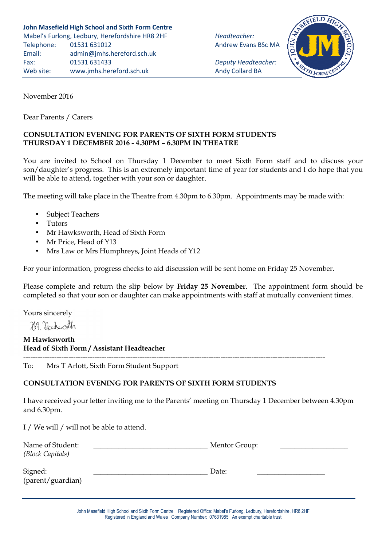FORN

November 2016

Dear Parents / Carers

## **CONSULTATION EVENING FOR PARENTS OF SIXTH FORM STUDENTS THURSDAY 1 DECEMBER 2016 - 4.30PM – 6.30PM IN THEATRE**

You are invited to School on Thursday 1 December to meet Sixth Form staff and to discuss your son/daughter's progress. This is an extremely important time of year for students and I do hope that you will be able to attend, together with your son or daughter.

The meeting will take place in the Theatre from 4.30pm to 6.30pm. Appointments may be made with:

- Subject Teachers
- Tutors
- Mr Hawksworth, Head of Sixth Form
- Mr Price, Head of Y13
- Mrs Law or Mrs Humphreys, Joint Heads of Y12

For your information, progress checks to aid discussion will be sent home on Friday 25 November.

Please complete and return the slip below by **Friday 25 November**. The appointment form should be completed so that your son or daughter can make appointments with staff at mutually convenient times.

Yours sincerely

M Hikoth

**M Hawksworth Head of Sixth Form / Assistant Headteacher**

------------------------------------------------------------------------------------------------------------------------------- To: Mrs T Arlott, Sixth Form Student Support

## **CONSULTATION EVENING FOR PARENTS OF SIXTH FORM STUDENTS**

I have received your letter inviting me to the Parents' meeting on Thursday 1 December between 4.30pm and 6.30pm.

I / We will / will not be able to attend.

| Name of Student:<br>(Block Capitals) | Mentor Group: |
|--------------------------------------|---------------|
| Signed:<br>(parent/guardian)         | Date:         |